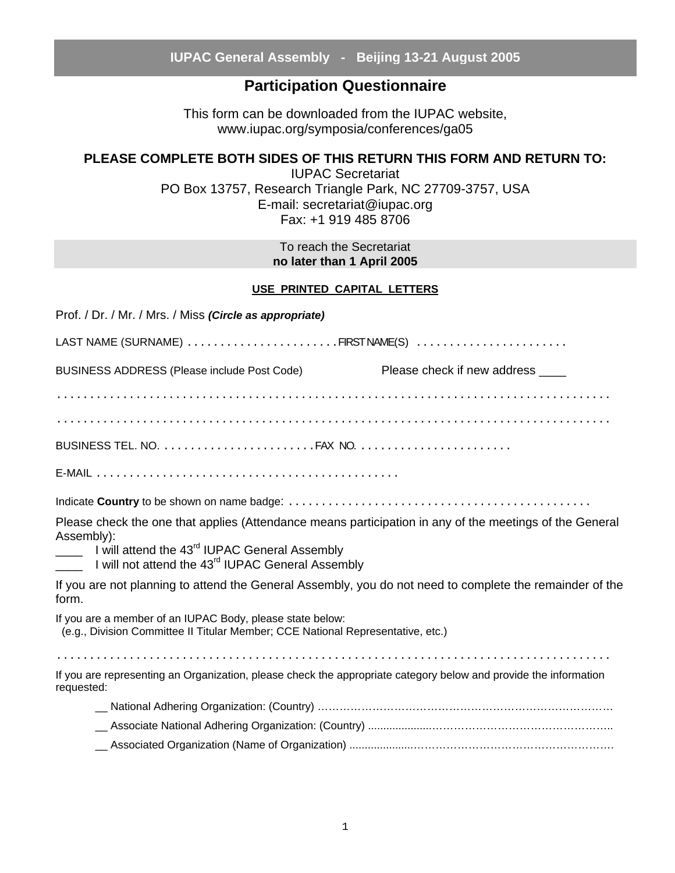### **Participation Questionnaire**

This form can be downloaded from the IUPAC website, www.iupac.org/symposia/conferences/ga05

### **PLEASE COMPLETE BOTH SIDES OF THIS RETURN THIS FORM AND RETURN TO:**

IUPAC Secretariat PO Box 13757, Research Triangle Park, NC 27709-3757, USA E-mail: secretariat@iupac.org Fax: +1 919 485 8706

> To reach the Secretariat **no later than 1 April 2005**

#### **USE PRINTED CAPITAL LETTERS**

| Prof. / Dr. / Mr. / Mrs. / Miss (Circle as appropriate)                                                                                      |                                                                                                          |
|----------------------------------------------------------------------------------------------------------------------------------------------|----------------------------------------------------------------------------------------------------------|
|                                                                                                                                              |                                                                                                          |
| BUSINESS ADDRESS (Please include Post Code)                                                                                                  | Please check if new address ____                                                                         |
|                                                                                                                                              |                                                                                                          |
|                                                                                                                                              |                                                                                                          |
|                                                                                                                                              |                                                                                                          |
|                                                                                                                                              |                                                                                                          |
|                                                                                                                                              |                                                                                                          |
| Assembly):<br>I will attend the 43 <sup>rd</sup> IUPAC General Assembly<br>I will not attend the 43 <sup>rd</sup> IUPAC General Assembly     | Please check the one that applies (Attendance means participation in any of the meetings of the General  |
| form.                                                                                                                                        | If you are not planning to attend the General Assembly, you do not need to complete the remainder of the |
| If you are a member of an IUPAC Body, please state below:<br>(e.g., Division Committee II Titular Member; CCE National Representative, etc.) |                                                                                                          |
|                                                                                                                                              |                                                                                                          |
| If you are representing an Organization, please check the appropriate category below and provide the information<br>requested:               |                                                                                                          |
|                                                                                                                                              |                                                                                                          |
|                                                                                                                                              |                                                                                                          |
|                                                                                                                                              |                                                                                                          |